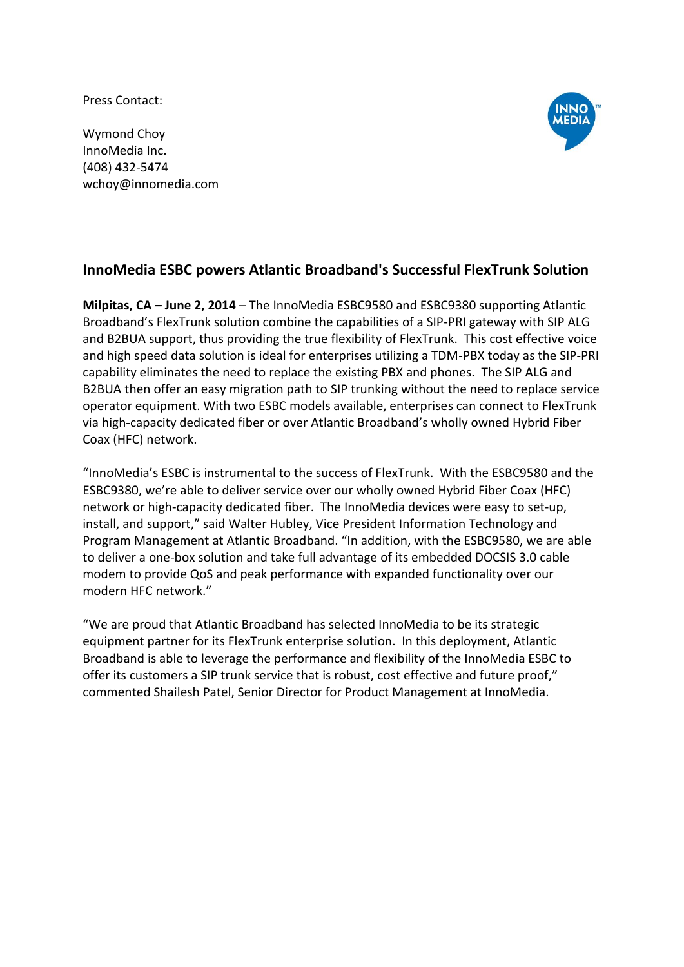Press Contact:

Wymond Choy InnoMedia Inc. (408) 432-5474 wchoy@innomedia.com



## **InnoMedia ESBC powers Atlantic Broadband's Successful FlexTrunk Solution**

**Milpitas, CA – June 2, 2014** – The InnoMedia ESBC9580 and ESBC9380 supporting Atlantic Broadband's FlexTrunk solution combine the capabilities of a SIP-PRI gateway with SIP ALG and B2BUA support, thus providing the true flexibility of FlexTrunk. This cost effective voice and high speed data solution is ideal for enterprises utilizing a TDM-PBX today as the SIP-PRI capability eliminates the need to replace the existing PBX and phones. The SIP ALG and B2BUA then offer an easy migration path to SIP trunking without the need to replace service operator equipment. With two ESBC models available, enterprises can connect to FlexTrunk via high-capacity dedicated fiber or over Atlantic Broadband's wholly owned Hybrid Fiber Coax (HFC) network.

"InnoMedia's ESBC is instrumental to the success of FlexTrunk. With the ESBC9580 and the ESBC9380, we're able to deliver service over our wholly owned Hybrid Fiber Coax (HFC) network or high-capacity dedicated fiber. The InnoMedia devices were easy to set-up, install, and support," said Walter Hubley, Vice President Information Technology and Program Management at Atlantic Broadband. "In addition, with the ESBC9580, we are able to deliver a one-box solution and take full advantage of its embedded DOCSIS 3.0 cable modem to provide QoS and peak performance with expanded functionality over our modern HFC network."

"We are proud that Atlantic Broadband has selected InnoMedia to be its strategic equipment partner for its FlexTrunk enterprise solution. In this deployment, Atlantic Broadband is able to leverage the performance and flexibility of the InnoMedia ESBC to offer its customers a SIP trunk service that is robust, cost effective and future proof," commented Shailesh Patel, Senior Director for Product Management at InnoMedia.